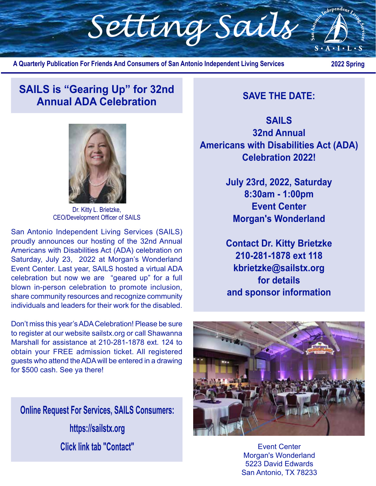

**A Quarterly Publication For Friends And Consumers of San Antonio Independent Living Services**

 **2022 Spring**

### **SAILS is "Gearing Up" for 32nd Annual ADA Celebration SAVE THE DATE:**

**SAILS 32nd Annual Americans with Disabilities Act (ADA) Celebration 2022!**

> **July 23rd, 2022, Saturday 8:30am - 1:00pm Event Center Morgan's Wonderland**

> **Contact Dr. Kitty Brietzke 210-281-1878 ext 118 kbrietzke@sailstx.org for details and sponsor information**



Event Center Morgan's Wonderland 5223 David Edwards San Antonio, TX 78233



Dr. Kitty L. Brietzke, CEO/Development Officer of SAILS

San Antonio Independent Living Services (SAILS) proudly announces our hosting of the 32nd Annual Americans with Disabilities Act (ADA) celebration on Saturday, July 23, 2022 at Morgan's Wonderland Event Center. Last year, SAILS hosted a virtual ADA celebration but now we are "geared up" for a full blown in-person celebration to promote inclusion, share community resources and recognize community individuals and leaders for their work for the disabled.

Don't miss this year's ADA Celebration! Please be sure to register at our website sailstx.org or call Shawanna Marshall for assistance at 210-281-1878 ext. 124 to obtain your FREE admission ticket. All registered guests who attend the ADA will be entered in a drawing for \$500 cash. See ya there!

**Online Request For Services, SAILS Consumers: https://sailstx.org Click link tab "Contact"**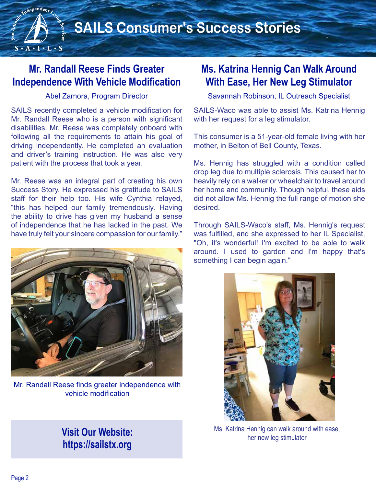## **Mr. Randall Reese Finds Greater Independence With Vehicle Modification**

adependent

 $S \cdot A \cdot I \cdot L \cdot S$ 

#### Abel Zamora, Program Director

SAILS recently completed a vehicle modification for Mr. Randall Reese who is a person with significant disabilities. Mr. Reese was completely onboard with following all the requirements to attain his goal of driving independently. He completed an evaluation and driver's training instruction. He was also very patient with the process that took a year.

Mr. Reese was an integral part of creating his own Success Story. He expressed his gratitude to SAILS staff for their help too. His wife Cynthia relayed, "this has helped our family tremendously. Having the ability to drive has given my husband a sense of independence that he has lacked in the past. We have truly felt your sincere compassion for our family."



Mr. Randall Reese finds greater independence with vehicle modification

### **Visit Our Website: https://sailstx.org**

### **Ms. Katrina Hennig Can Walk Around With Ease, Her New Leg Stimulator**

Savannah Robinson, IL Outreach Specialist

SAILS-Waco was able to assist Ms. Katrina Hennig with her request for a leg stimulator.

This consumer is a 51-year-old female living with her mother, in Belton of Bell County, Texas.

Ms. Hennig has struggled with a condition called drop leg due to multiple sclerosis. This caused her to heavily rely on a walker or wheelchair to travel around her home and community. Though helpful, these aids did not allow Ms. Hennig the full range of motion she desired.

Through SAILS-Waco's staff, Ms. Hennig's request was fulfilled, and she expressed to her IL Specialist, "Oh, it's wonderful! I'm excited to be able to walk around. I used to garden and I'm happy that's something I can begin again."



Ms. Katrina Hennig can walk around with ease, her new leg stimulator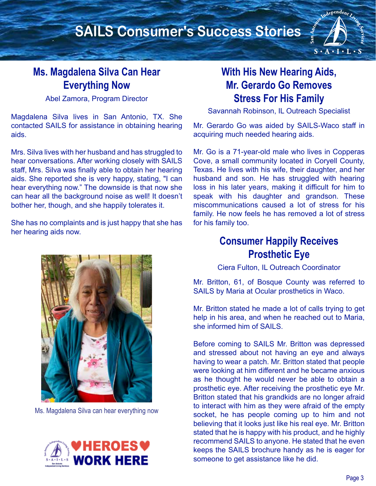# **SAILS Consumer's Success Stories**

### **Ms. Magdalena Silva Can Hear Everything Now**

Abel Zamora, Program Director

Magdalena Silva lives in San Antonio, TX. She contacted SAILS for assistance in obtaining hearing aids.

Mrs. Silva lives with her husband and has struggled to hear conversations. After working closely with SAILS staff, Mrs. Silva was finally able to obtain her hearing aids. She reported she is very happy, stating, "I can hear everything now." The downside is that now she can hear all the background noise as well! It doesn't bother her, though, and she happily tolerates it.

She has no complaints and is just happy that she has her hearing aids now.



Ms. Magdalena Silva can hear everything now



## **With His New Hearing Aids, Mr. Gerardo Go Removes Stress For His Family**

Independent Live

 $S \cdot A \cdot I \cdot L \cdot S$ 

Savannah Robinson, IL Outreach Specialist

Mr. Gerardo Go was aided by SAILS-Waco staff in acquiring much needed hearing aids.

Mr. Go is a 71-year-old male who lives in Copperas Cove, a small community located in Coryell County, Texas. He lives with his wife, their daughter, and her husband and son. He has struggled with hearing loss in his later years, making it difficult for him to speak with his daughter and grandson. These miscommunications caused a lot of stress for his family. He now feels he has removed a lot of stress for his family too.

### **Consumer Happily Receives Prosthetic Eye**

Ciera Fulton, IL Outreach Coordinator

Mr. Britton, 61, of Bosque County was referred to SAILS by Maria at Ocular prosthetics in Waco.

Mr. Britton stated he made a lot of calls trying to get help in his area, and when he reached out to Maria, she informed him of SAILS.

Before coming to SAILS Mr. Britton was depressed and stressed about not having an eye and always having to wear a patch. Mr. Britton stated that people were looking at him different and he became anxious as he thought he would never be able to obtain a prosthetic eye. After receiving the prosthetic eye Mr. Britton stated that his grandkids are no longer afraid to interact with him as they were afraid of the empty socket, he has people coming up to him and not believing that it looks just like his real eye. Mr. Britton stated that he is happy with his product, and he highly recommend SAILS to anyone. He stated that he even keeps the SAILS brochure handy as he is eager for someone to get assistance like he did.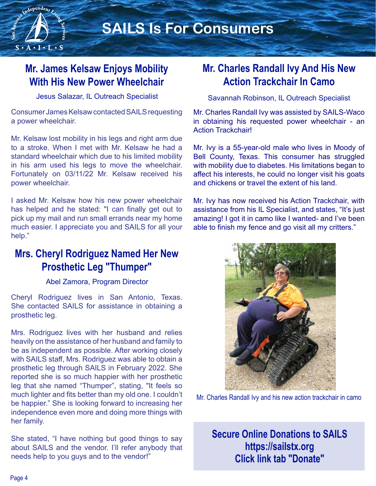

# **SAILS Is For Consumers**

## **Mr. James Kelsaw Enjoys Mobility With His New Power Wheelchair**

Jesus Salazar, IL Outreach Specialist

Consumer James Kelsaw contacted SAILS requesting a power wheelchair.

Mr. Kelsaw lost mobility in his legs and right arm due to a stroke. When I met with Mr. Kelsaw he had a standard wheelchair which due to his limited mobility in his arm used his legs to move the wheelchair. Fortunately on 03/11/22 Mr. Kelsaw received his power wheelchair.

I asked Mr. Kelsaw how his new power wheelchair has helped and he stated: "I can finally get out to pick up my mail and run small errands near my home much easier. I appreciate you and SAILS for all your help."

### **Mrs. Cheryl Rodriguez Named Her New Prosthetic Leg "Thumper"**

#### Abel Zamora, Program Director

Cheryl Rodriguez lives in San Antonio, Texas. She contacted SAILS for assistance in obtaining a prosthetic leg.

Mrs. Rodriguez lives with her husband and relies heavily on the assistance of her husband and family to be as independent as possible. After working closely with SAILS staff, Mrs. Rodriguez was able to obtain a prosthetic leg through SAILS in February 2022. She reported she is so much happier with her prosthetic leg that she named "Thumper", stating, "It feels so much lighter and fits better than my old one. I couldn't be happier." She is looking forward to increasing her independence even more and doing more things with her family.

She stated, "I have nothing but good things to say about SAILS and the vendor. I'll refer anybody that needs help to you guys and to the vendor!"

### **Mr. Charles Randall Ivy And His New Action Trackchair In Camo**

Savannah Robinson, IL Outreach Specialist

Mr. Charles Randall Ivy was assisted by SAILS-Waco in obtaining his requested power wheelchair - an Action Trackchair!

Mr. Ivy is a 55-year-old male who lives in Moody of Bell County, Texas. This consumer has struggled with mobility due to diabetes. His limitations began to affect his interests, he could no longer visit his goats and chickens or travel the extent of his land.

Mr. Ivy has now received his Action Trackchair, with assistance from his IL Specialist, and states, "It's just amazing! I got it in camo like I wanted- and I've been able to finish my fence and go visit all my critters."



Mr. Charles Randall Ivy and his new action trackchair in camo

**Secure Online Donations to SAILS https://sailstx.org Click link tab "Donate"**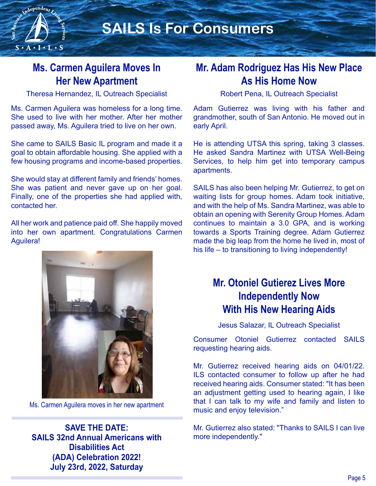

### **Ms. Carmen Aguilera Moves In Her New Apartment**

Theresa Hernandez, IL Outreach Specialist

Ms. Carmen Aguilera was homeless for a long time. She used to live with her mother. After her mother passed away, Ms. Aguilera tried to live on her own.

She came to SAILS Basic IL program and made it a goal to obtain affordable housing. She applied with a few housing programs and income-based properties.

She would stay at different family and friends' homes. She was patient and never gave up on her goal. Finally, one of the properties she had applied with, contacted her.

All her work and patience paid off. She happily moved into her own apartment. Congratulations Carmen Aguilera!



Ms. Carmen Aguilera moves in her new apartment

**SAVE THE DATE: SAILS 32nd Annual Americans with Disabilities Act (ADA) Celebration 2022! July 23rd, 2022, Saturday**

### **Mr. Adam Rodriguez Has His New Place As His Home Now**

Robert Pena, IL Outreach Specialist

Adam Gutierrez was living with his father and grandmother, south of San Antonio. He moved out in early April.

He is attending UTSA this spring, taking 3 classes. He asked Sandra Martinez with UTSA Well-Being Services, to help him get into temporary campus apartments.

SAILS has also been helping Mr. Gutierrez, to get on waiting lists for group homes. Adam took initiative, and with the help of Ms. Sandra Martinez, was able to obtain an opening with Serenity Group Homes. Adam continues to maintain a 3.0 GPA, and is working towards a Sports Training degree. Adam Gutierrez made the big leap from the home he lived in, most of his life – to transitioning to living independently!

### **Mr. Otoniel Gutierez Lives More Independently Now With His New Hearing Aids**

Jesus Salazar, IL Outreach Specialist

Consumer Otoniel Gutierrez contacted SAILS requesting hearing aids.

Mr. Gutierrez received hearing aids on 04/01/22. ILS contacted consumer to follow up after he had received hearing aids. Consumer stated: "It has been an adjustment getting used to hearing again, I like that I can talk to my wife and family and listen to music and enjoy television."

Mr. Gutierrez also stated: "Thanks to SAILS I can live more independently."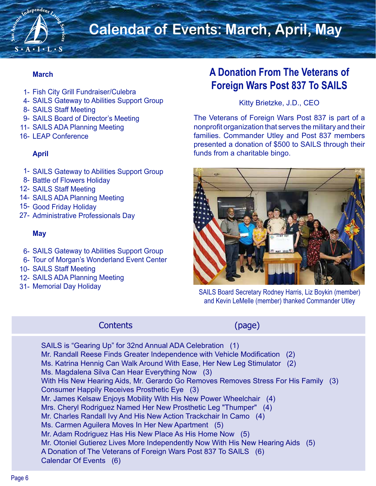

# **Calendar of Events: March, April, May**

#### **March**

- 1- Fish City Grill Fundraiser/Culebra
- 4- SAILS Gateway to Abilities Support Group
- 8- SAILS Staff Meeting
- 9- SAILS Board of Director's Meeting
- 11- SAILS ADA Planning Meeting
- 16- LEAP Conference

### **April**

- 1- SAILS Gateway to Abilities Support Group
- 8- Battle of Flowers Holiday
- 12- SAILS Staff Meeting
- 14- SAILS ADA Planning Meeting
- 15- Good Friday Holiday
- 27- Administrative Professionals Day

#### **May**

- 6- SAILS Gateway to Abilities Support Group
- 6- Tour of Morgan's Wonderland Event Center
- 10- SAILS Staff Meeting
- 12- SAILS ADA Planning Meeting
- 31- Memorial Day Holiday

### **A Donation From The Veterans of Foreign Wars Post 837 To SAILS**

### Kitty Brietzke, J.D., CEO

The Veterans of Foreign Wars Post 837 is part of a nonprofit organization that serves the military and their families. Commander Utley and Post 837 members presented a donation of \$500 to SAILS through their funds from a charitable bingo.



SAILS Board Secretary Rodney Harris, Liz Boykin (member) and Kevin LeMelle (member) thanked Commander Utley

### Contents (page)

SAILS is "Gearing Up" for 32nd Annual ADA Celebration (1) Mr. Randall Reese Finds Greater Independence with Vehicle Modification (2) Ms. Katrina Hennig Can Walk Around With Ease, Her New Leg Stimulator (2) Ms. Magdalena Silva Can Hear Everything Now (3) With His New Hearing Aids, Mr. Gerardo Go Removes Removes Stress For His Family (3) Consumer Happily Receives Prosthetic Eye (3) Mr. James Kelsaw Enjoys Mobility With His New Power Wheelchair (4) Mrs. Cheryl Rodriguez Named Her New Prosthetic Leg "Thumper" (4) Mr. Charles Randall Ivy And His New Action Trackchair In Camo (4) Ms. Carmen Aguilera Moves In Her New Apartment (5) Mr. Adam Rodriguez Has His New Place As His Home Now (5) Mr. Otoniel Gutierez Lives More Independently Now With His New Hearing Aids (5) A Donation of The Veterans of Foreign Wars Post 837 To SAILS (6) Calendar Of Events (6)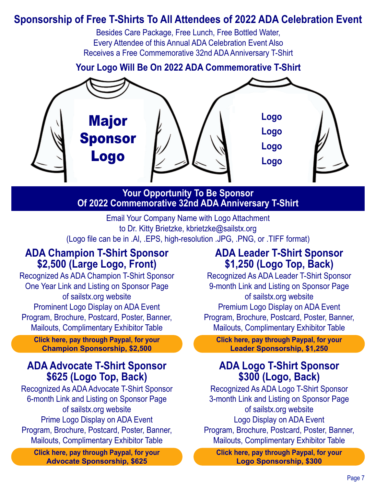### **Sponsorship of Free T-Shirts To All Attendees of 2022 ADA Celebration Event**

Besides Care Package, Free Lunch, Free Bottled Water, Every Attendee of this Annual ADA Celebration Event Also Receives a Free Commemorative 32nd ADA Anniversary T-Shirt

**Your Logo Will Be On 2022 ADA Commemorative T-Shirt** 



### **Your Opportunity To Be Sponsor Of 2022 Commemorative 32nd ADA Anniversary T-Shirt**

Email Your Company Name with Logo Attachment to Dr. Kitty Brietzke, kbrietzke@sailstx.org (Logo file can be in .Al, .EPS, high-resolution .JPG, .PNG, or .TIFF format)

### **ADA Champion T-Shirt Sponsor \$2,500 (Large Logo, Front)**

Recognized As ADA Champion T-Shirt Sponsor One Year Link and Listing on Sponsor Page of sailstx.org website Prominent Logo Display on ADA Event Program, Brochure, Postcard, Poster, Banner, Mailouts, Complimentary Exhibitor Table

**Click here, pay through Paypal, for your Champion Sponsorship, \$2,500**

### **ADA Advocate T-Shirt Sponsor \$625 (Logo Top, Back)**

Recognized As ADA Advocate T-Shirt Sponsor 6-month Link and Listing on Sponsor Page of sailstx.org website Prime Logo Display on ADA Event Program, Brochure, Postcard, Poster, Banner, Mailouts, Complimentary Exhibitor Table

**Click here, pay through Paypal, for your Advocate Sponsorship, \$625**

### **ADA Leader T-Shirt Sponsor \$1,250 (Logo Top, Back)**

Recognized As ADA Leader T-Shirt Sponsor 9-month Link and Listing on Sponsor Page of sailstx.org website Premium Logo Display on ADA Event Program, Brochure, Postcard, Poster, Banner, Mailouts, Complimentary Exhibitor Table

**Click here, pay through Paypal, for your Leader Sponsorship, \$1,250**

### **ADA Logo T-Shirt Sponsor \$300 (Logo, Back)**

Recognized As ADA Logo T-Shirt Sponsor 3-month Link and Listing on Sponsor Page of sailstx.org website Logo Display on ADA Event Program, Brochure, Postcard, Poster, Banner, Mailouts, Complimentary Exhibitor Table

**Click here, pay through Paypal, for your Logo Sponsorship, \$300**